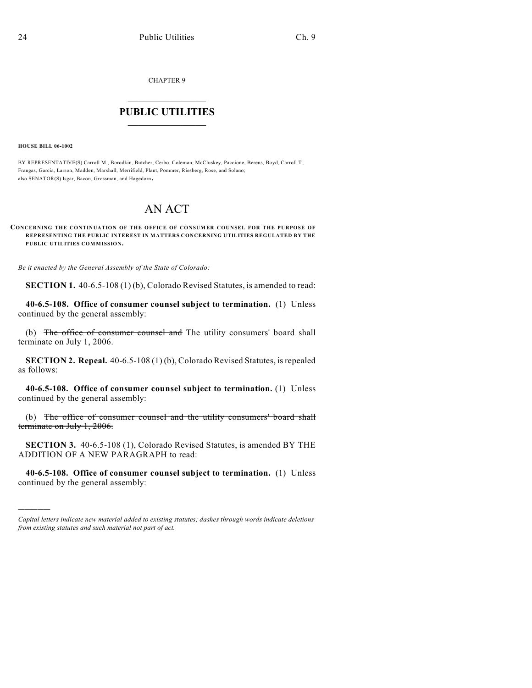CHAPTER 9

## $\mathcal{L}_\text{max}$  . The set of the set of the set of the set of the set of the set of the set of the set of the set of the set of the set of the set of the set of the set of the set of the set of the set of the set of the set **PUBLIC UTILITIES** \_\_\_\_\_\_\_\_\_\_\_\_\_\_\_

**HOUSE BILL 06-1002**

)))))

BY REPRESENTATIVE(S) Carroll M., Borodkin, Butcher, Cerbo, Coleman, McCluskey, Paccione, Berens, Boyd, Carroll T., Frangas, Garcia, Larson, Madden, Marshall, Merrifield, Plant, Pommer, Riesberg, Rose, and Solano; also SENATOR(S) Isgar, Bacon, Grossman, and Hagedorn.

## AN ACT

## **CONCERNING THE CONTINUATION OF THE OFFICE OF CONSUMER COUNSEL FOR THE PURPOSE OF REPRESENTING THE PUBLIC INTEREST IN MATTERS CONCERNING UTILITIES REGULATED BY THE PUBLIC UTILITIES COMMISSION.**

*Be it enacted by the General Assembly of the State of Colorado:*

**SECTION 1.** 40-6.5-108 (1) (b), Colorado Revised Statutes, is amended to read:

**40-6.5-108. Office of consumer counsel subject to termination.** (1) Unless continued by the general assembly:

(b) The office of consumer counsel and The utility consumers' board shall terminate on July 1, 2006.

**SECTION 2. Repeal.** 40-6.5-108 (1) (b), Colorado Revised Statutes, is repealed as follows:

**40-6.5-108. Office of consumer counsel subject to termination.** (1) Unless continued by the general assembly:

(b) The office of consumer counsel and the utility consumers' board shall terminate on July 1, 2006.

**SECTION 3.** 40-6.5-108 (1), Colorado Revised Statutes, is amended BY THE ADDITION OF A NEW PARAGRAPH to read:

**40-6.5-108. Office of consumer counsel subject to termination.** (1) Unless continued by the general assembly:

*Capital letters indicate new material added to existing statutes; dashes through words indicate deletions from existing statutes and such material not part of act.*